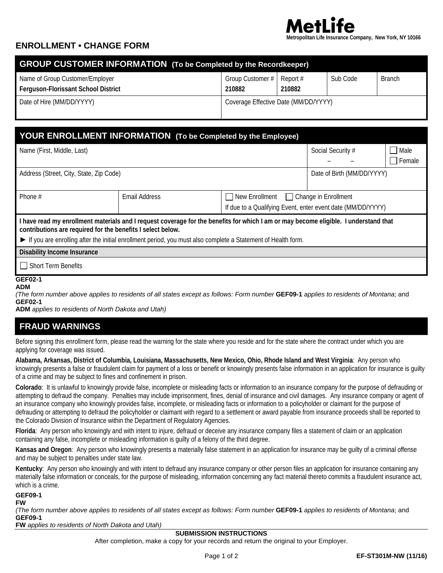

## **ENROLLMENT • CHANGE FORM**

| <b>GROUP CUSTOMER INFORMATION</b> (To be Completed by the Recordkeeper)       |                                      |                    |          |               |  |  |
|-------------------------------------------------------------------------------|--------------------------------------|--------------------|----------|---------------|--|--|
| Name of Group Customer/Employer<br><b>Ferguson-Florissant School District</b> | Group Customer #<br>210882           | Report #<br>210882 | Sub Code | <b>Branch</b> |  |  |
| Date of Hire (MM/DD/YYYY)                                                     | Coverage Effective Date (MM/DD/YYYY) |                    |          |               |  |  |

# **YOUR ENROLLMENT INFORMATION (To be Completed by the Employee)**

| Name (First, Middle, Last)                                                                                                                                                                          |               | Social Security #                                                                                  | □ Male |               |  |  |
|-----------------------------------------------------------------------------------------------------------------------------------------------------------------------------------------------------|---------------|----------------------------------------------------------------------------------------------------|--------|---------------|--|--|
|                                                                                                                                                                                                     |               |                                                                                                    |        | $\Box$ Female |  |  |
| Address (Street, City, State, Zip Code)                                                                                                                                                             |               | Date of Birth (MM/DD/YYYY)                                                                         |        |               |  |  |
|                                                                                                                                                                                                     |               |                                                                                                    |        |               |  |  |
| Phone $#$                                                                                                                                                                                           | Email Address | New Enrollment Change in Enrollment<br>If due to a Qualifying Event, enter event date (MM/DD/YYYY) |        |               |  |  |
|                                                                                                                                                                                                     |               |                                                                                                    |        |               |  |  |
| I have read my enrollment materials and I request coverage for the benefits for which I am or may become eligible. I understand that<br>contributions are required for the benefits I select below. |               |                                                                                                    |        |               |  |  |
| If you are enrolling after the initial enrollment period, you must also complete a Statement of Health form.                                                                                        |               |                                                                                                    |        |               |  |  |
| <b>Disability Income Insurance</b>                                                                                                                                                                  |               |                                                                                                    |        |               |  |  |
| $\Box$ Short Term Benefits                                                                                                                                                                          |               |                                                                                                    |        |               |  |  |
| <b>GEF02-1</b>                                                                                                                                                                                      |               |                                                                                                    |        |               |  |  |

### **ADM**

*(The form number above applies to residents of all states except as follows: Form number* **GEF09-1** *applies to residents of Montana*; and **GEF02-1**

**ADM** *applies to residents of North Dakota and Utah)*

## **FRAUD WARNINGS**

Before signing this enrollment form, please read the warning for the state where you reside and for the state where the contract under which you are applying for coverage was issued.

**Alabama, Arkansas, District of Columbia, Louisiana, Massachusetts, New Mexico, Ohio, Rhode Island and West Virginia**: Any person who knowingly presents a false or fraudulent claim for payment of a loss or benefit or knowingly presents false information in an application for insurance is guilty of a crime and may be subject to fines and confinement in prison.

**Colorado**: It is unlawful to knowingly provide false, incomplete or misleading facts or information to an insurance company for the purpose of defrauding or attempting to defraud the company. Penalties may include imprisonment, fines, denial of insurance and civil damages. Any insurance company or agent of an insurance company who knowingly provides false, incomplete, or misleading facts or information to a policyholder or claimant for the purpose of defrauding or attempting to defraud the policyholder or claimant with regard to a settlement or award payable from insurance proceeds shall be reported to the Colorado Division of Insurance within the Department of Regulatory Agencies.

**Florida**: Any person who knowingly and with intent to injure, defraud or deceive any insurance company files a statement of claim or an application containing any false, incomplete or misleading information is guilty of a felony of the third degree.

**Kansas and Oregon**: Any person who knowingly presents a materially false statement in an application for insurance may be guilty of a criminal offense and may be subject to penalties under state law.

**Kentucky**: Any person who knowingly and with intent to defraud any insurance company or other person files an application for insurance containing any materially false information or conceals, for the purpose of misleading, information concerning any fact material thereto commits a fraudulent insurance act, which is a crime.

**GEF09-1**

**FW**

*(The form number above applies to residents of all states except as follows: Form number* **GEF09-1** *applies to residents of Montana*; and **GEF09-1**

**FW** *applies to residents of North Dakota and Utah)*

#### **SUBMISSION INSTRUCTIONS**

After completion, make a copy for your records and return the original to your Employer.